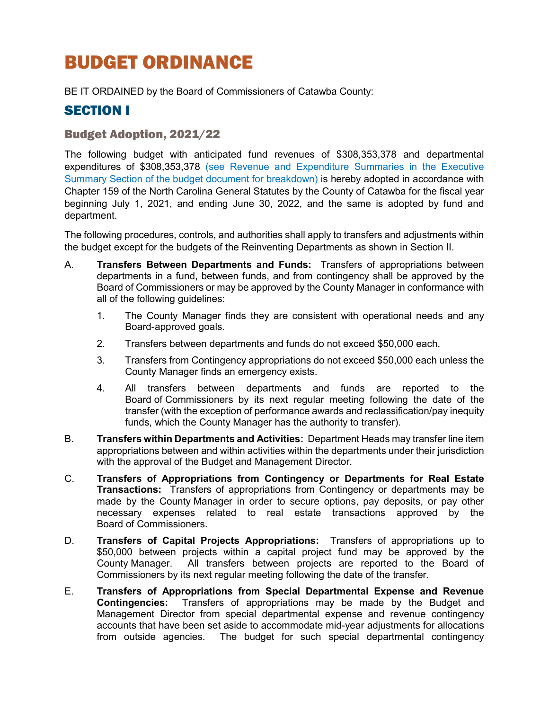# BUDGET ORDINANCE

BE IT ORDAINED by the Board of Commissioners of Catawba County:

### SECTION I

### Budget Adoption, 2021/22

The following budget with anticipated fund revenues of \$308,353,378 and departmental expenditures of \$308,353,378 (see Revenue and Expenditure Summaries in the Executive Summary Section of the budget document for breakdown) is hereby adopted in accordance with Chapter 159 of the North Carolina General Statutes by the County of Catawba for the fiscal year beginning July 1, 2021, and ending June 30, 2022, and the same is adopted by fund and department.

The following procedures, controls, and authorities shall apply to transfers and adjustments within the budget except for the budgets of the Reinventing Departments as shown in Section II.

- A. **Transfers Between Departments and Funds:** Transfers of appropriations between departments in a fund, between funds, and from contingency shall be approved by the Board of Commissioners or may be approved by the County Manager in conformance with all of the following guidelines:
	- 1. The County Manager finds they are consistent with operational needs and any Board-approved goals.
	- 2. Transfers between departments and funds do not exceed \$50,000 each.
	- 3. Transfers from Contingency appropriations do not exceed \$50,000 each unless the County Manager finds an emergency exists.
	- 4. All transfers between departments and funds are reported to the Board of Commissioners by its next regular meeting following the date of the transfer (with the exception of performance awards and reclassification/pay inequity funds, which the County Manager has the authority to transfer).
- B. **Transfers within Departments and Activities:** Department Heads may transfer line item appropriations between and within activities within the departments under their jurisdiction with the approval of the Budget and Management Director.
- C. **Transfers of Appropriations from Contingency or Departments for Real Estate Transactions:** Transfers of appropriations from Contingency or departments may be made by the County Manager in order to secure options, pay deposits, or pay other necessary expenses related to real estate transactions approved by the Board of Commissioners.
- D. **Transfers of Capital Projects Appropriations:** Transfers of appropriations up to \$50,000 between projects within a capital project fund may be approved by the County Manager. All transfers between projects are reported to the Board of Commissioners by its next regular meeting following the date of the transfer.
- E. **Transfers of Appropriations from Special Departmental Expense and Revenue Contingencies:** Transfers of appropriations may be made by the Budget and Management Director from special departmental expense and revenue contingency accounts that have been set aside to accommodate mid-year adjustments for allocations from outside agencies. The budget for such special departmental contingency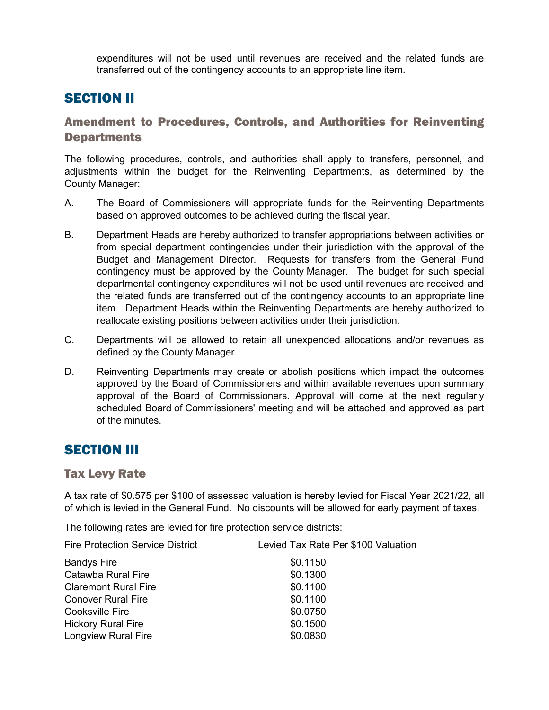expenditures will not be used until revenues are received and the related funds are transferred out of the contingency accounts to an appropriate line item.

# SECTION II

### Amendment to Procedures, Controls, and Authorities for Reinventing **Departments**

The following procedures, controls, and authorities shall apply to transfers, personnel, and adjustments within the budget for the Reinventing Departments, as determined by the County Manager:

- A. The Board of Commissioners will appropriate funds for the Reinventing Departments based on approved outcomes to be achieved during the fiscal year.
- B. Department Heads are hereby authorized to transfer appropriations between activities or from special department contingencies under their jurisdiction with the approval of the Budget and Management Director. Requests for transfers from the General Fund contingency must be approved by the County Manager. The budget for such special departmental contingency expenditures will not be used until revenues are received and the related funds are transferred out of the contingency accounts to an appropriate line item. Department Heads within the Reinventing Departments are hereby authorized to reallocate existing positions between activities under their jurisdiction.
- C. Departments will be allowed to retain all unexpended allocations and/or revenues as defined by the County Manager.
- D. Reinventing Departments may create or abolish positions which impact the outcomes approved by the Board of Commissioners and within available revenues upon summary approval of the Board of Commissioners. Approval will come at the next regularly scheduled Board of Commissioners' meeting and will be attached and approved as part of the minutes.

### SECTION III

### Tax Levy Rate

A tax rate of \$0.575 per \$100 of assessed valuation is hereby levied for Fiscal Year 2021/22, all of which is levied in the General Fund. No discounts will be allowed for early payment of taxes.

The following rates are levied for fire protection service districts:

| <b>Fire Protection Service District</b> | Levied Tax Rate Per \$100 Valuation |
|-----------------------------------------|-------------------------------------|
| <b>Bandys Fire</b>                      | \$0.1150                            |
| Catawba Rural Fire                      | \$0.1300                            |
| <b>Claremont Rural Fire</b>             | \$0.1100                            |
| <b>Conover Rural Fire</b>               | \$0.1100                            |
| <b>Cooksville Fire</b>                  | \$0.0750                            |
| <b>Hickory Rural Fire</b>               | \$0.1500                            |
| <b>Longview Rural Fire</b>              | \$0.0830                            |
|                                         |                                     |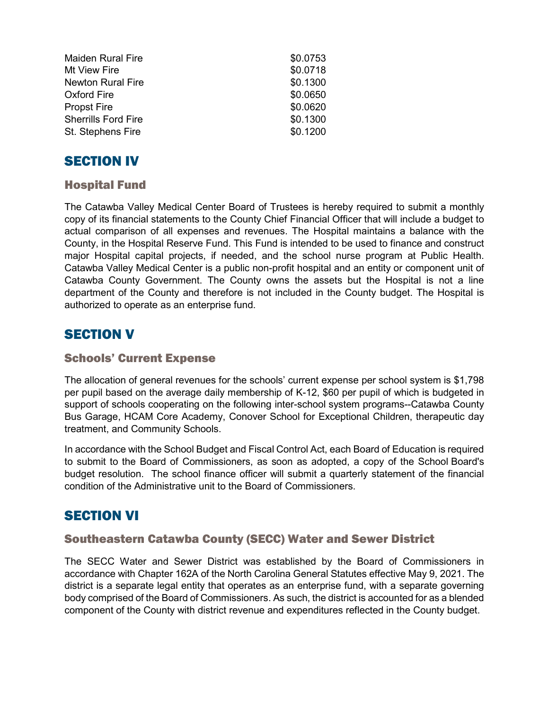| <b>Maiden Rural Fire</b>   | \$0.0753 |
|----------------------------|----------|
| Mt View Fire               | \$0.0718 |
| <b>Newton Rural Fire</b>   | \$0.1300 |
| <b>Oxford Fire</b>         | \$0.0650 |
| <b>Propst Fire</b>         | \$0.0620 |
| <b>Sherrills Ford Fire</b> | \$0.1300 |
| St. Stephens Fire          | \$0.1200 |

### SECTION IV

### Hospital Fund

The Catawba Valley Medical Center Board of Trustees is hereby required to submit a monthly copy of its financial statements to the County Chief Financial Officer that will include a budget to actual comparison of all expenses and revenues. The Hospital maintains a balance with the County, in the Hospital Reserve Fund. This Fund is intended to be used to finance and construct major Hospital capital projects, if needed, and the school nurse program at Public Health. Catawba Valley Medical Center is a public non-profit hospital and an entity or component unit of Catawba County Government. The County owns the assets but the Hospital is not a line department of the County and therefore is not included in the County budget. The Hospital is authorized to operate as an enterprise fund.

# SECTION V

#### Schools' Current Expense

The allocation of general revenues for the schools' current expense per school system is \$1,798 per pupil based on the average daily membership of K-12, \$60 per pupil of which is budgeted in support of schools cooperating on the following inter-school system programs--Catawba County Bus Garage, HCAM Core Academy, Conover School for Exceptional Children, therapeutic day treatment, and Community Schools.

In accordance with the School Budget and Fiscal Control Act, each Board of Education is required to submit to the Board of Commissioners, as soon as adopted, a copy of the School Board's budget resolution. The school finance officer will submit a quarterly statement of the financial condition of the Administrative unit to the Board of Commissioners.

### **SECTION VI**

### Southeastern Catawba County (SECC) Water and Sewer District

The SECC Water and Sewer District was established by the Board of Commissioners in accordance with Chapter 162A of the North Carolina General Statutes effective May 9, 2021. The district is a separate legal entity that operates as an enterprise fund, with a separate governing body comprised of the Board of Commissioners. As such, the district is accounted for as a blended component of the County with district revenue and expenditures reflected in the County budget.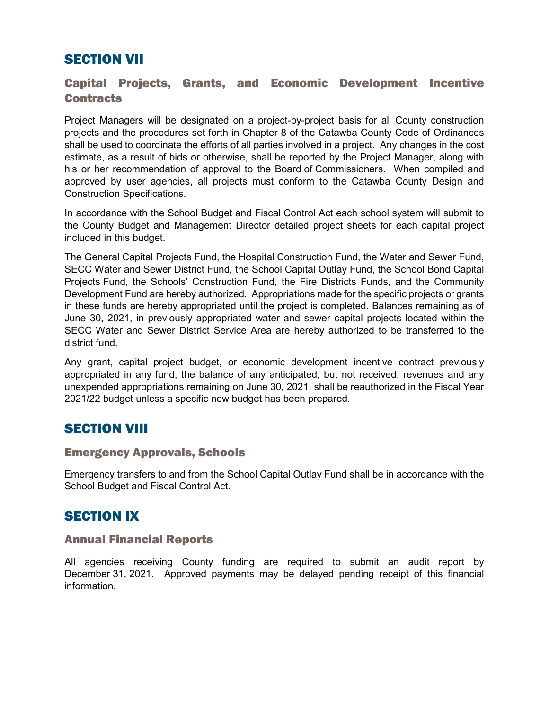# SECTION VII

### Capital Projects, Grants, and Economic Development Incentive **Contracts**

Project Managers will be designated on a project-by-project basis for all County construction projects and the procedures set forth in Chapter 8 of the Catawba County Code of Ordinances shall be used to coordinate the efforts of all parties involved in a project. Any changes in the cost estimate, as a result of bids or otherwise, shall be reported by the Project Manager, along with his or her recommendation of approval to the Board of Commissioners. When compiled and approved by user agencies, all projects must conform to the Catawba County Design and Construction Specifications.

In accordance with the School Budget and Fiscal Control Act each school system will submit to the County Budget and Management Director detailed project sheets for each capital project included in this budget.

The General Capital Projects Fund, the Hospital Construction Fund, the Water and Sewer Fund, SECC Water and Sewer District Fund, the School Capital Outlay Fund, the School Bond Capital Projects Fund, the Schools' Construction Fund, the Fire Districts Funds, and the Community Development Fund are hereby authorized. Appropriations made for the specific projects or grants in these funds are hereby appropriated until the project is completed. Balances remaining as of June 30, 2021, in previously appropriated water and sewer capital projects located within the SECC Water and Sewer District Service Area are hereby authorized to be transferred to the district fund.

Any grant, capital project budget, or economic development incentive contract previously appropriated in any fund, the balance of any anticipated, but not received, revenues and any unexpended appropriations remaining on June 30, 2021, shall be reauthorized in the Fiscal Year 2021/22 budget unless a specific new budget has been prepared.

### **SECTION VIII**

#### Emergency Approvals, Schools

Emergency transfers to and from the School Capital Outlay Fund shall be in accordance with the School Budget and Fiscal Control Act.

### SECTION IX

### Annual Financial Reports

All agencies receiving County funding are required to submit an audit report by December 31, 2021. Approved payments may be delayed pending receipt of this financial information.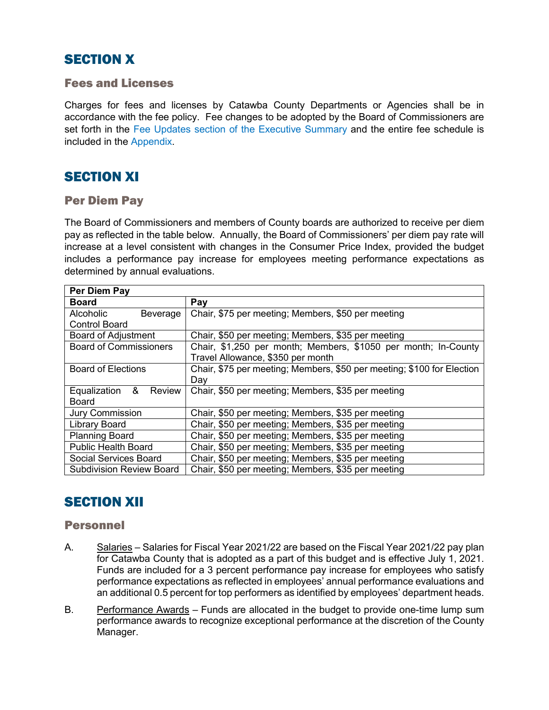# **SECTION X**

#### Fees and Licenses

Charges for fees and licenses by Catawba County Departments or Agencies shall be in accordance with the fee policy. Fee changes to be adopted by the Board of Commissioners are set forth in the Fee Updates section of the Executive Summary and the entire fee schedule is included in the Appendix.

# SECTION XI

#### Per Diem Pay

The Board of Commissioners and members of County boards are authorized to receive per diem pay as reflected in the table below. Annually, the Board of Commissioners' per diem pay rate will increase at a level consistent with changes in the Consumer Price Index, provided the budget includes a performance pay increase for employees meeting performance expectations as determined by annual evaluations.

| Per Diem Pay                    |                                                                        |
|---------------------------------|------------------------------------------------------------------------|
| <b>Board</b>                    | Pay                                                                    |
| Alcoholic<br>Beverage           | Chair, \$75 per meeting; Members, \$50 per meeting                     |
| <b>Control Board</b>            |                                                                        |
| <b>Board of Adjustment</b>      | Chair, \$50 per meeting; Members, \$35 per meeting                     |
| <b>Board of Commissioners</b>   | Chair, \$1,250 per month; Members, \$1050 per month; In-County         |
|                                 | Travel Allowance, \$350 per month                                      |
| <b>Board of Elections</b>       | Chair, \$75 per meeting; Members, \$50 per meeting; \$100 for Election |
|                                 | Day                                                                    |
| Equalization &<br>Review        | Chair, \$50 per meeting; Members, \$35 per meeting                     |
| Board                           |                                                                        |
| <b>Jury Commission</b>          | Chair, \$50 per meeting; Members, \$35 per meeting                     |
| <b>Library Board</b>            | Chair, \$50 per meeting; Members, \$35 per meeting                     |
| <b>Planning Board</b>           | Chair, \$50 per meeting; Members, \$35 per meeting                     |
| <b>Public Health Board</b>      | Chair, \$50 per meeting; Members, \$35 per meeting                     |
| Social Services Board           | Chair, \$50 per meeting; Members, \$35 per meeting                     |
| <b>Subdivision Review Board</b> | Chair, \$50 per meeting; Members, \$35 per meeting                     |

# SECTION XII

#### Personnel

- A. Salaries Salaries for Fiscal Year 2021/22 are based on the Fiscal Year 2021/22 pay plan for Catawba County that is adopted as a part of this budget and is effective July 1, 2021. Funds are included for a 3 percent performance pay increase for employees who satisfy performance expectations as reflected in employees' annual performance evaluations and an additional 0.5 percent for top performers as identified by employees' department heads.
- B. Performance Awards Funds are allocated in the budget to provide one-time lump sum performance awards to recognize exceptional performance at the discretion of the County Manager.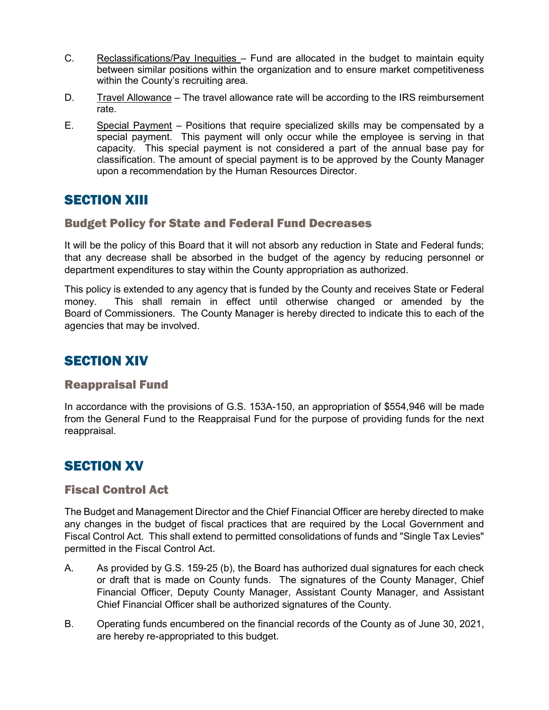- C. Reclassifications/Pay Inequities Fund are allocated in the budget to maintain equity between similar positions within the organization and to ensure market competitiveness within the County's recruiting area.
- D. Travel Allowance The travel allowance rate will be according to the IRS reimbursement rate.
- E. Special Payment Positions that require specialized skills may be compensated by a special payment. This payment will only occur while the employee is serving in that capacity. This special payment is not considered a part of the annual base pay for classification. The amount of special payment is to be approved by the County Manager upon a recommendation by the Human Resources Director.

# **SECTION XIII**

### Budget Policy for State and Federal Fund Decreases

It will be the policy of this Board that it will not absorb any reduction in State and Federal funds; that any decrease shall be absorbed in the budget of the agency by reducing personnel or department expenditures to stay within the County appropriation as authorized.

This policy is extended to any agency that is funded by the County and receives State or Federal money. This shall remain in effect until otherwise changed or amended by the Board of Commissioners. The County Manager is hereby directed to indicate this to each of the agencies that may be involved.

# SECTION XIV

#### Reappraisal Fund

In accordance with the provisions of G.S. 153A-150, an appropriation of \$554,946 will be made from the General Fund to the Reappraisal Fund for the purpose of providing funds for the next reappraisal.

# **SECTION XV**

#### Fiscal Control Act

The Budget and Management Director and the Chief Financial Officer are hereby directed to make any changes in the budget of fiscal practices that are required by the Local Government and Fiscal Control Act. This shall extend to permitted consolidations of funds and "Single Tax Levies" permitted in the Fiscal Control Act.

- A. As provided by G.S. 159-25 (b), the Board has authorized dual signatures for each check or draft that is made on County funds. The signatures of the County Manager, Chief Financial Officer, Deputy County Manager, Assistant County Manager, and Assistant Chief Financial Officer shall be authorized signatures of the County.
- B. Operating funds encumbered on the financial records of the County as of June 30, 2021, are hereby re-appropriated to this budget.